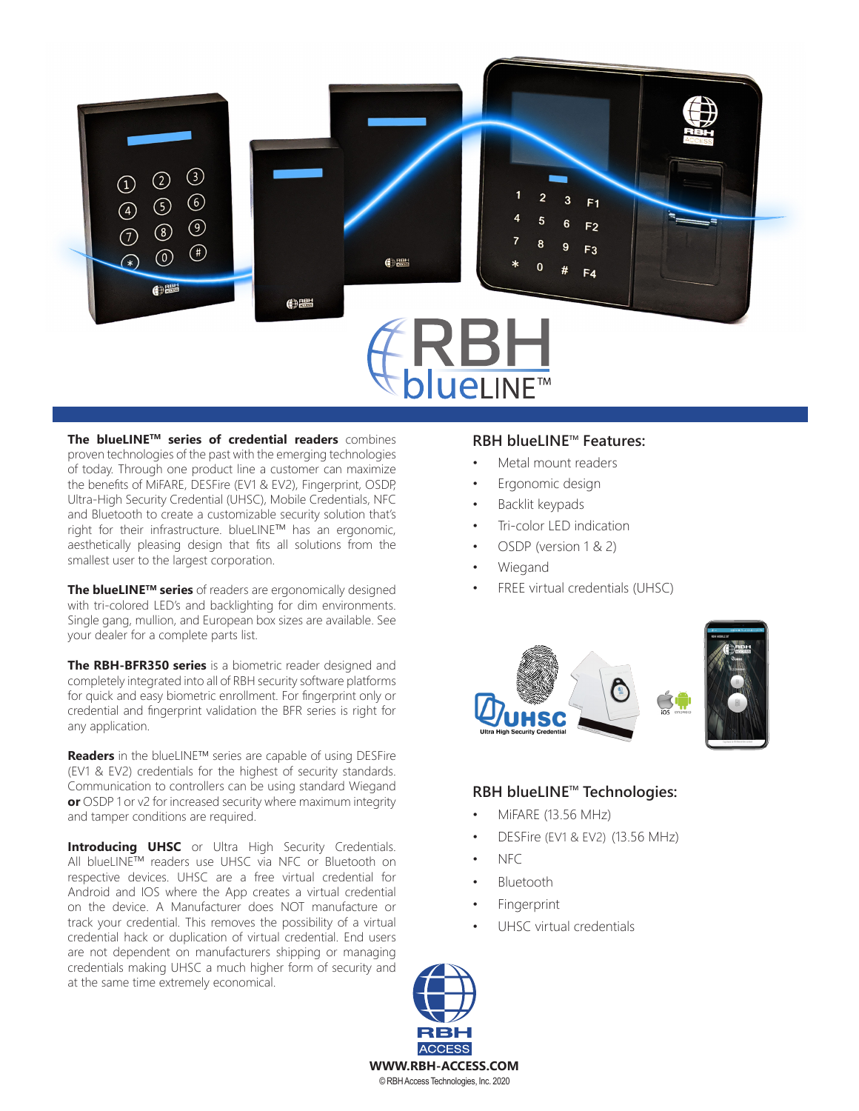

**The blueLINETM series of credential readers** combines proven technologies of the past with the emerging technologies of today. Through one product line a customer can maximize the benefits of MiFARE, DESFire (EV1 & EV2), Fingerprint, OSDP, Ultra-High Security Credential (UHSC), Mobile Credentials, NFC and Bluetooth to create a customizable security solution that's right for their infrastructure. blueLINE™ has an ergonomic, aesthetically pleasing design that fits all solutions from the smallest user to the largest corporation.

**The blueLINETM series** of readers are ergonomically designed with tri-colored LED's and backlighting for dim environments. Single gang, mullion, and European box sizes are available. See your dealer for a complete parts list.

**The RBH-BFR350 series** is a biometric reader designed and completely integrated into all of RBH security software platforms for quick and easy biometric enrollment. For fingerprint only or credential and fingerprint validation the BFR series is right for any application.

**Readers** in the blueLINETM series are capable of using DESFire (EV1 & EV2) credentials for the highest of security standards. Communication to controllers can be using standard Wiegand **or** OSDP 1 or v2 for increased security where maximum integrity and tamper conditions are required.

**Introducing UHSC** or Ultra High Security Credentials. All blueLINETM readers use UHSC via NFC or Bluetooth on respective devices. UHSC are a free virtual credential for Android and IOS where the App creates a virtual credential on the device. A Manufacturer does NOT manufacture or track your credential. This removes the possibility of a virtual credential hack or duplication of virtual credential. End users are not dependent on manufacturers shipping or managing credentials making UHSC a much higher form of security and at the same time extremely economical.

## **RBH blueLINE™ Features:**

- Metal mount readers
- Ergonomic design
- Backlit keypads
- Tri-color LED indication
- OSDP (version 1 & 2)
- **Wiegand**
- FREE virtual credentials (UHSC)





## **RBH blueLINE™ Technologies:**

- MiFARE (13.56 MHz)
- DESFire (EV1 & EV2) (13.56 MHz)
- NFC
- **Bluetooth**
- **Fingerprint**
- UHSC virtual credentials